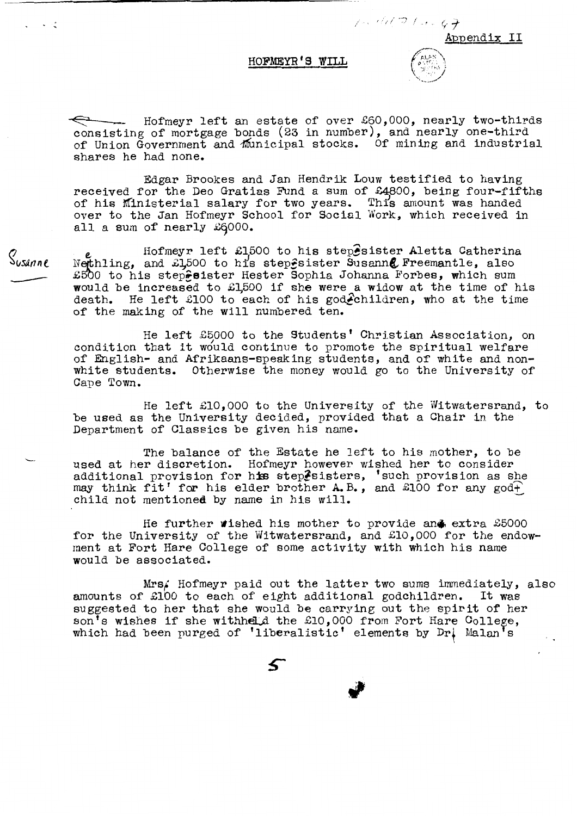## **HOFMEYR'S WILL**

Appendix II

/" / */ ~~:]* / - <sup>~</sup>. ~- *f* 

~ Hofmeyr left an estate of over *£60,000,* nearly two-thirds consisting of mortgage bonds (23 in number), and nearly one-third of Union Government and municipal stocks. Of mining and industrial shares he had none.

Edgar Brookes and Jan Hendrik Louw testified to having received for the Deo Gratias Fund a sum of £4800, being four-fifths of his Ministerial salary for two years. This amount was handed over to the Jan Hofmeyr School for Social Work, which received in all a sum of nearly  $\pounds 6000$ .

Hofmeyr left £1,500 to his step $\hat{e}$ sister Aletta Catherina Netthling, and  $\tilde{L}1500$  to his step $\hat{\epsilon}$ sister Susann $\ell$  Freemantle, also £500 to his stepesister Hester Sophia Johanna Forbes, which sum would be increased to £1,500 if she were a widow at the time of his death. He left £100 to each of his godechildren, who at the time of the making of the will numbered ten.

He left £5000 to the Students' Christian Association, on condition that it would continue to promote the spiritual welfare of English- and Afrikaans-speaking students, and of white and nonwhite students. Otherwise the money would go to the University of Cape Town.

He left £10,000 to the University of the Witwatersrand, to be used as the University decided, provided that a Chair in the Department of Classics be given his name.

The balance of the Estate he left to his mother, to be used at her discretion. Hofmeyr however wished her to consider additional provision for his steplsisters, 'such provision as she may think fit' for his elder brother  $A$ . B., and £100 for any god $+$ child not mentioned by name in his will.

He further wished his mother to provide and extra £5000 for the University of the Witwatersrand, and £10,000 for the endowment at Fort Hare College of some activity with which his name would be associated.

Mrs/ Hofmeyr paid out the latter two sums immediately, also amounts of £100 to each of eight additional godchildren. It was suggested to her that she would be carrying out the spirit of her suggested to her that she would be earlying one the spirits of her which had been purged of 'liberalistic' elements by Dr. Malan's

Susanne